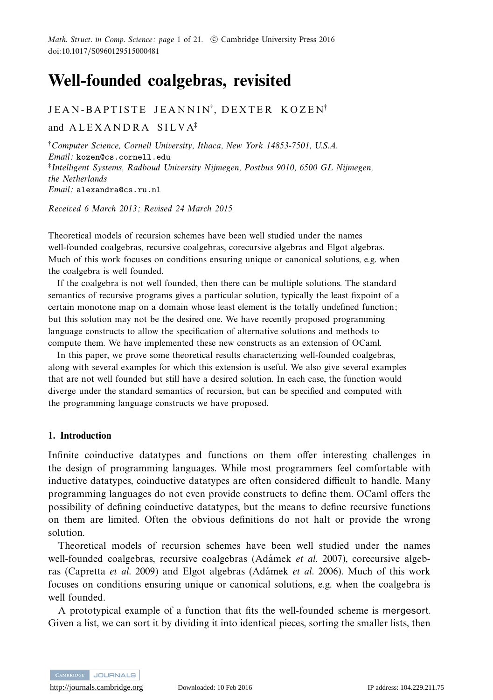Math. Struct. in Comp. Science: page 1 of 21.  $\degree$  Cambridge University Press 2016 doi:10.1017/S0960129515000481

# **Well-founded coalgebras, revisited**

# JEAN-BAPTISTE JEANNIN†, DEXTER KOZEN†

# and ALEXANDRA SILVA<sup>‡</sup>

†Computer Science, Cornell University, Ithaca, New York 14853-7501, U.S.A. Email: kozen@cs.cornell.edu ‡Intelligent Systems, Radboud University Nijmegen, Postbus 9010, 6500 GL Nijmegen, the Netherlands Email: alexandra@cs.ru.nl

Received 6 March 2013; Revised 24 March 2015

Theoretical models of recursion schemes have been well studied under the names well-founded coalgebras, recursive coalgebras, corecursive algebras and Elgot algebras. Much of this work focuses on conditions ensuring unique or canonical solutions, e.g. when the coalgebra is well founded.

If the coalgebra is not well founded, then there can be multiple solutions. The standard semantics of recursive programs gives a particular solution, typically the least fixpoint of a certain monotone map on a domain whose least element is the totally undefined function; but this solution may not be the desired one. We have recently proposed programming language constructs to allow the specification of alternative solutions and methods to compute them. We have implemented these new constructs as an extension of OCaml.

In this paper, we prove some theoretical results characterizing well-founded coalgebras, along with several examples for which this extension is useful. We also give several examples that are not well founded but still have a desired solution. In each case, the function would diverge under the standard semantics of recursion, but can be specified and computed with the programming language constructs we have proposed.

# **1. Introduction**

Infinite coinductive datatypes and functions on them offer interesting challenges in the design of programming languages. While most programmers feel comfortable with inductive datatypes, coinductive datatypes are often considered difficult to handle. Many programming languages do not even provide constructs to define them. OCaml offers the possibility of defining coinductive datatypes, but the means to define recursive functions on them are limited. Often the obvious definitions do not halt or provide the wrong solution.

Theoretical models of recursion schemes have been well studied under the names well-founded coalgebras, recursive coalgebras (Adamek *et al.* 2007), corecursive algebras (Capretta *et al.* 2009) and Elgot algebras (Adámek *et al.* 2006). Much of this work focuses on conditions ensuring unique or canonical solutions, e.g. when the coalgebra is well founded.

A prototypical example of a function that fits the well-founded scheme is mergesort. Given a list, we can sort it by dividing it into identical pieces, sorting the smaller lists, then



<http://journals.cambridge.org> Downloaded: 10 Feb 2016 IP address: 104.229.211.75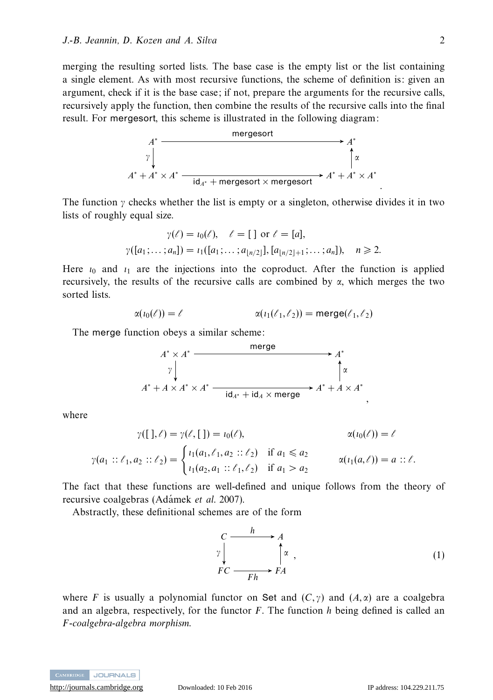merging the resulting sorted lists. The base case is the empty list or the list containing a single element. As with most recursive functions, the scheme of definition is: given an argument, check if it is the base case; if not, prepare the arguments for the recursive calls, recursively apply the function, then combine the results of the recursive calls into the final result. For mergesort, this scheme is illustrated in the following diagram:



The function  $\gamma$  checks whether the list is empty or a singleton, otherwise divides it in two lists of roughly equal size.

$$
\gamma(\ell) = i_0(\ell), \quad \ell = [ ] \text{ or } \ell = [a],
$$
  

$$
\gamma([a_1; \dots; a_n]) = i_1([a_1; \dots; a_{n/2}],[a_{n/2}+1; \dots; a_n]), \quad n \ge 2.
$$

Here  $\iota_0$  and  $\iota_1$  are the injections into the coproduct. After the function is applied recursively, the results of the recursive calls are combined by  $\alpha$ , which merges the two sorted lists.

$$
\alpha(\iota_0(\ell)) = \ell \qquad \qquad \alpha(\iota_1(\ell_1, \ell_2)) = \mathsf{merge}(\ell_1, \ell_2)
$$

The merge function obeys a similar scheme:

$$
A^* \times A^* \xrightarrow{\text{merge}} A^* \\
\gamma \downarrow \qquad \qquad \uparrow \alpha \\
A^* + A \times A^* \times A^* \xrightarrow{\text{id}_{A^*} + \text{id}_A \times \text{merge}} A^* + A \times A^* \\
\qquad \qquad \downarrow
$$

where

$$
\gamma([1,\ell) = \gamma(\ell, [1]) = \iota_0(\ell), \qquad \alpha(\iota_0(\ell)) = \ell
$$
  

$$
\gamma(a_1 :: \ell_1, a_2 :: \ell_2) = \begin{cases} \iota_1(a_1, \ell_1, a_2 :: \ell_2) & \text{if } a_1 \le a_2 \\ \iota_1(a_2, a_1 :: \ell_1, \ell_2) & \text{if } a_1 > a_2 \end{cases} \qquad \alpha(\iota_1(a,\ell)) = a :: \ell.
$$

The fact that these functions are well-defined and unique follows from the theory of recursive coalgebras (Adámek *et al.* 2007).

Abstractly, these definitional schemes are of the form

$$
\begin{array}{ccc}\nC & \xrightarrow{h} & A \\
\gamma \downarrow & \uparrow \alpha \\
FC & \xrightarrow{Fh} & FA\n\end{array} \tag{1}
$$

where *F* is usually a polynomial functor on Set and  $(C, \gamma)$  and  $(A, \alpha)$  are a coalgebra and an algebra, respectively, for the functor *F*. The function *h* being defined is called an *F*-coalgebra-algebra morphism.

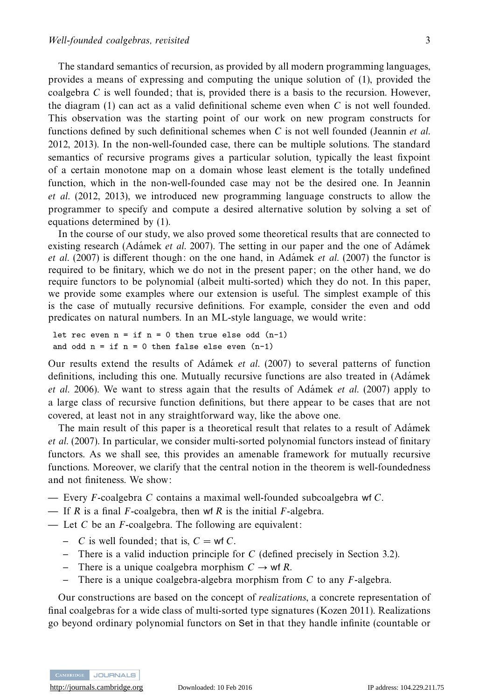The standard semantics of recursion, as provided by all modern programming languages, provides a means of expressing and computing the unique solution of (1), provided the coalgebra  $C$  is well founded; that is, provided there is a basis to the recursion. However, the diagram (1) can act as a valid definitional scheme even when *C* is not well founded. This observation was the starting point of our work on new program constructs for functions defined by such definitional schemes when *C* is not well founded (Jeannin et al. 2012, 2013). In the non-well-founded case, there can be multiple solutions. The standard semantics of recursive programs gives a particular solution, typically the least fixpoint of a certain monotone map on a domain whose least element is the totally undefined function, which in the non-well-founded case may not be the desired one. In Jeannin et al. (2012, 2013), we introduced new programming language constructs to allow the programmer to specify and compute a desired alternative solution by solving a set of equations determined by (1).

In the course of our study, we also proved some theoretical results that are connected to existing research (Adámek *et al.* 2007). The setting in our paper and the one of Adámek et al.  $(2007)$  is different though: on the one hand, in Adámek et al.  $(2007)$  the functor is required to be finitary, which we do not in the present paper; on the other hand, we do require functors to be polynomial (albeit multi-sorted) which they do not. In this paper, we provide some examples where our extension is useful. The simplest example of this is the case of mutually recursive definitions. For example, consider the even and odd predicates on natural numbers. In an ML-style language, we would write:

```
let rec even n = if n = 0 then true else odd (n-1)and odd n = if n = 0 then false else even (n-1)
```
Our results extend the results of Adámek *et al.* (2007) to several patterns of function definitions, including this one. Mutually recursive functions are also treated in (Adámek et al. 2006). We want to stress again that the results of Adamek et al. (2007) apply to a large class of recursive function definitions, but there appear to be cases that are not covered, at least not in any straightforward way, like the above one.

The main result of this paper is a theoretical result that relates to a result of Adámek et al. (2007). In particular, we consider multi-sorted polynomial functors instead of finitary functors. As we shall see, this provides an amenable framework for mutually recursive functions. Moreover, we clarify that the central notion in the theorem is well-foundedness and not finiteness. We show:

- **—** Every *F*-coalgebra *C* contains a maximal well-founded subcoalgebra wf *C*.
- **—** If *R* is a final *F*-coalgebra, then wf *R* is the initial *F*-algebra.
- **—** Let *C* be an *F*-coalgebra. The following are equivalent:
	- $\sim$  *C* is well founded; that is,  $C = \text{wf } C$ .
	- **–** There is a valid induction principle for *C* (defined precisely in Section 3.2).
	- $\blacksquare$  There is a unique coalgebra morphism  $C \rightarrow \mathsf{wt} R$ .
	- **–** There is a unique coalgebra-algebra morphism from *C* to any *F*-algebra.

Our constructions are based on the concept of realizations, a concrete representation of final coalgebras for a wide class of multi-sorted type signatures (Kozen 2011). Realizations go beyond ordinary polynomial functors on Set in that they handle infinite (countable or

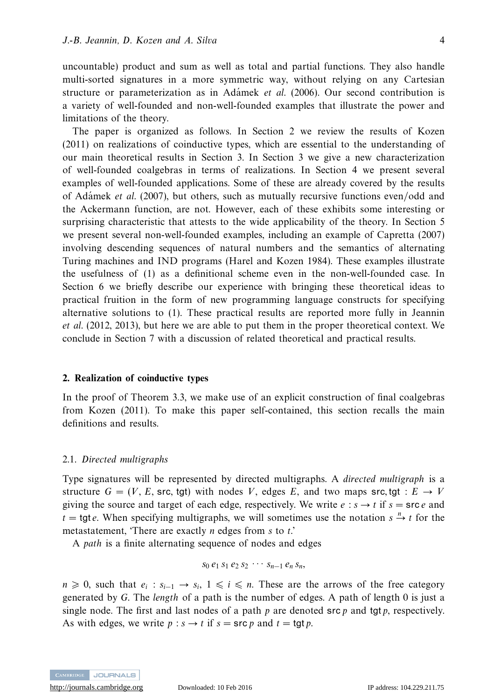uncountable) product and sum as well as total and partial functions. They also handle multi-sorted signatures in a more symmetric way, without relying on any Cartesian structure or parameterization as in Adamek *et al.* (2006). Our second contribution is a variety of well-founded and non-well-founded examples that illustrate the power and limitations of the theory.

The paper is organized as follows. In Section 2 we review the results of Kozen (2011) on realizations of coinductive types, which are essential to the understanding of our main theoretical results in Section 3. In Section 3 we give a new characterization of well-founded coalgebras in terms of realizations. In Section 4 we present several examples of well-founded applications. Some of these are already covered by the results of Adámek *et al.* (2007), but others, such as mutually recursive functions even/odd and the Ackermann function, are not. However, each of these exhibits some interesting or surprising characteristic that attests to the wide applicability of the theory. In Section 5 we present several non-well-founded examples, including an example of Capretta (2007) involving descending sequences of natural numbers and the semantics of alternating Turing machines and IND programs (Harel and Kozen 1984). These examples illustrate the usefulness of (1) as a definitional scheme even in the non-well-founded case. In Section 6 we briefly describe our experience with bringing these theoretical ideas to practical fruition in the form of new programming language constructs for specifying alternative solutions to (1). These practical results are reported more fully in Jeannin et al. (2012, 2013), but here we are able to put them in the proper theoretical context. We conclude in Section 7 with a discussion of related theoretical and practical results.

## **2. Realization of coinductive types**

In the proof of Theorem 3.3, we make use of an explicit construction of final coalgebras from Kozen (2011). To make this paper self-contained, this section recalls the main definitions and results.

#### 2.1. Directed multigraphs

Type signatures will be represented by directed multigraphs. A directed multigraph is a structure  $G = (V, E, \text{src}, \text{tgt})$  with nodes V, edges E, and two maps src, tgt :  $E \to V$ giving the source and target of each edge, respectively. We write  $e : s \rightarrow t$  if  $s = \text{src } e$  and  $t = \text{tgt } e$ . When specifying multigraphs, we will sometimes use the notation  $s \stackrel{n}{\rightarrow} t$  for the metastatement, 'There are exactly *n* edges from *s* to *t*.'

A path is a finite alternating sequence of nodes and edges

$$
s_0\,e_1\,s_1\,e_2\,s_2\,\cdots\,s_{n-1}\,e_n\,s_n,
$$

 $n \geq 0$ , such that  $e_i : s_{i-1} \to s_i$ ,  $1 \leq i \leq n$ . These are the arrows of the free category generated by *G*. The length of a path is the number of edges. A path of length 0 is just a single node. The first and last nodes of a path  $p$  are denoted src  $p$  and tgt  $p$ , respectively. As with edges, we write  $p : s \to t$  if  $s = \text{src } p$  and  $t = \text{tgt } p$ .

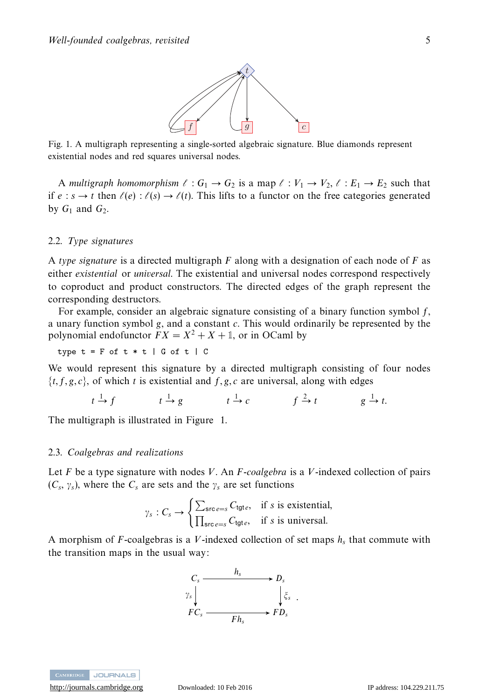

Fig. 1. A multigraph representing a single-sorted algebraic signature. Blue diamonds represent existential nodes and red squares universal nodes.

A multigraph homomorphism  $\ell: G_1 \to G_2$  is a map  $\ell: V_1 \to V_2$ ,  $\ell: E_1 \to E_2$  such that if  $e : s \to t$  then  $\ell(e) : \ell(s) \to \ell(t)$ . This lifts to a functor on the free categories generated by  $G_1$  and  $G_2$ .

## 2.2. Type signatures

A type signature is a directed multigraph *F* along with a designation of each node of *F* as either existential or universal. The existential and universal nodes correspond respectively to coproduct and product constructors. The directed edges of the graph represent the corresponding destructors.

For example, consider an algebraic signature consisting of a binary function symbol *f*, a unary function symbol *g*, and a constant *c*. This would ordinarily be represented by the polynomial endofunctor  $FX = X^2 + X + \mathbb{1}$ , or in OCaml by

type  $t = F$  of  $t * t | G$  of  $t | C$ 

We would represent this signature by a directed multigraph consisting of four nodes  $\{t, f, g, c\}$ , of which *t* is existential and  $f, g, c$  are universal, along with edges

 $t \xrightarrow{1} f$   $t \xrightarrow{1} g$   $t \xrightarrow{1} c$   $f \xrightarrow{2} t$   $g \xrightarrow{1} t$ .

The multigraph is illustrated in Figure 1.

#### 2.3. Coalgebras and realizations

Let *F* be a type signature with nodes *V*. An *F*-coalgebra is a *V*-indexed collection of pairs  $(C_s, \gamma_s)$ , where the  $C_s$  are sets and the  $\gamma_s$  are set functions

$$
\gamma_s : C_s \to \begin{cases} \sum_{\text{src } e=s} C_{\text{tgt } e}, & \text{if } s \text{ is existential,} \\ \prod_{\text{src } e=s} C_{\text{tgt } e}, & \text{if } s \text{ is universal.} \end{cases}
$$

A morphism of *F*-coalgebras is a *V*-indexed collection of set maps  $h<sub>s</sub>$  that commute with the transition maps in the usual way:



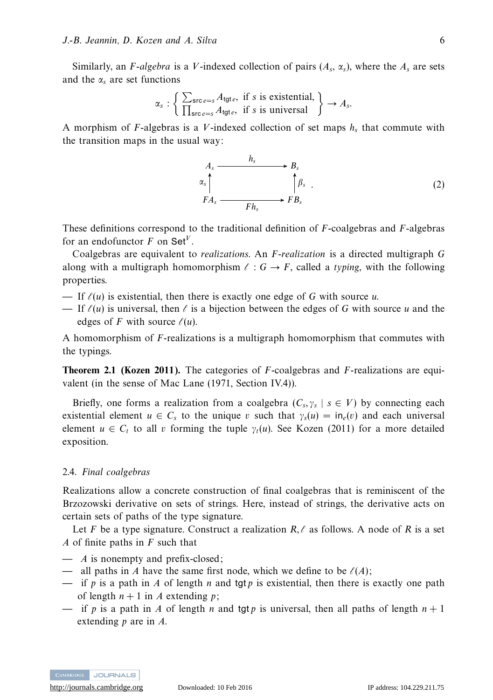Similarly, an *F*-algebra is a *V*-indexed collection of pairs  $(A_s, \alpha_s)$ , where the  $A_s$  are sets and the  $\alpha_s$  are set functions

$$
\alpha_s : \left\{ \frac{\sum_{\text{src } e=s} A_{\text{tgt } e}}{\prod_{\text{src } e=s} A_{\text{tgt } e}}, \text{ if } s \text{ is existential, } \right\} \rightarrow A_s.
$$

A morphism of *F*-algebras is a *V*-indexed collection of set maps *hs* that commute with the transition maps in the usual way:

$$
A_s \xrightarrow{h_s} B_s
$$
  
\n
$$
\alpha_s \uparrow \qquad \qquad \uparrow \beta_s
$$
  
\n
$$
FA_s \xrightarrow{Fh_s} FB_s
$$
 (2)

These definitions correspond to the traditional definition of *F*-coalgebras and *F*-algebras for an endofunctor *F* on Set*<sup>V</sup>* .

Coalgebras are equivalent to realizations. An *F*-realization is a directed multigraph *G* along with a multigraph homomorphism  $\ell : G \to F$ , called a typing, with the following properties.

- $\frac{d}{dx}$  If  $\ell(u)$  is existential, then there is exactly one edge of G with source *u*.
- If  $\ell(u)$  is universal, then  $\ell$  is a bijection between the edges of G with source u and the edges of *F* with source  $\ell(u)$ .

A homomorphism of *F*-realizations is a multigraph homomorphism that commutes with the typings.

**Theorem 2.1 (Kozen 2011).** The categories of *F*-coalgebras and *F*-realizations are equivalent (in the sense of Mac Lane (1971, Section IV.4)).

Briefly, one forms a realization from a coalgebra  $(C_s, \gamma_s \mid s \in V)$  by connecting each existential element  $u \in C_s$  to the unique *v* such that  $\gamma_s(u) = \text{in}_e(v)$  and each universal element  $u \in C_t$  to all *v* forming the tuple  $\gamma_t(u)$ . See Kozen (2011) for a more detailed exposition.

#### 2.4. Final coalgebras

Realizations allow a concrete construction of final coalgebras that is reminiscent of the Brzozowski derivative on sets of strings. Here, instead of strings, the derivative acts on certain sets of paths of the type signature.

Let *F* be a type signature. Construct a realization  $R, \ell$  as follows. A node of *R* is a set *A* of finite paths in *F* such that

- **—** *A* is nonempty and prefix-closed;
- all paths in *A* have the same first node, which we define to be  $\ell(A)$ ;
- **—** if *p* is a path in *A* of length *n* and tgt *p* is existential, then there is exactly one path of length  $n + 1$  in *A* extending *p*;
- if p is a path in A of length *n* and tgt p is universal, then all paths of length  $n + 1$ extending *p* are in *A*.

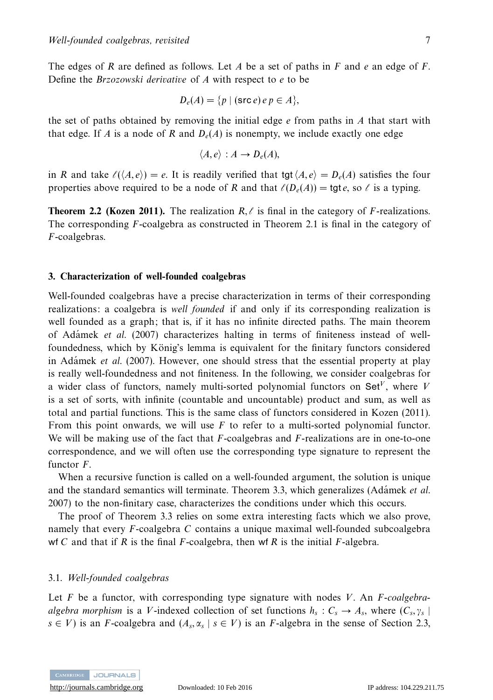The edges of *R* are defined as follows. Let *A* be a set of paths in *F* and *e* an edge of *F*. Define the Brzozowski derivative of *A* with respect to *e* to be

$$
D_e(A) = \{ p \mid (\text{src } e) \, e \, p \in A \},
$$

the set of paths obtained by removing the initial edge *e* from paths in *A* that start with that edge. If *A* is a node of *R* and  $D_e(A)$  is nonempty, we include exactly one edge

$$
\langle A, e \rangle : A \to D_e(A),
$$

in *R* and take  $\ell(\langle A, e \rangle) = e$ . It is readily verified that tgt $\langle A, e \rangle = D_e(A)$  satisfies the four properties above required to be a node of *R* and that  $\ell(D_e(A)) = \text{td}t e$ , so  $\ell$  is a typing.

**Theorem 2.2 (Kozen 2011).** The realization  $R, \ell$  is final in the category of *F*-realizations. The corresponding *F*-coalgebra as constructed in Theorem 2.1 is final in the category of *F*-coalgebras.

#### **3. Characterization of well-founded coalgebras**

Well-founded coalgebras have a precise characterization in terms of their corresponding realizations: a coalgebra is well founded if and only if its corresponding realization is well founded as a graph; that is, if it has no infinite directed paths. The main theorem of Adamek *et al.* (2007) characterizes halting in terms of finiteness instead of wellfoundedness, which by König's lemma is equivalent for the finitary functors considered in Adamek *et al.* (2007). However, one should stress that the essential property at play is really well-foundedness and not finiteness. In the following, we consider coalgebras for a wider class of functors, namely multi-sorted polynomial functors on  $\text{Set}^V$ , where V is a set of sorts, with infinite (countable and uncountable) product and sum, as well as total and partial functions. This is the same class of functors considered in Kozen (2011). From this point onwards, we will use *F* to refer to a multi-sorted polynomial functor. We will be making use of the fact that *F*-coalgebras and *F*-realizations are in one-to-one correspondence, and we will often use the corresponding type signature to represent the functor *F*.

When a recursive function is called on a well-founded argument, the solution is unique and the standard semantics will terminate. Theorem 3.3, which generalizes (Adamek *et al.*) 2007) to the non-finitary case, characterizes the conditions under which this occurs.

The proof of Theorem 3.3 relies on some extra interesting facts which we also prove, namely that every *F*-coalgebra *C* contains a unique maximal well-founded subcoalgebra wf *C* and that if *R* is the final *F*-coalgebra, then wf *R* is the initial *F*-algebra.

#### 3.1. Well-founded coalgebras

Let *F* be a functor, with corresponding type signature with nodes *V*. An *F*-coalgebraalgebra morphism is a *V*-indexed collection of set functions  $h_s : C_s \to A_s$ , where  $(C_s, \gamma_s)$  $s \in V$ ) is an *F*-coalgebra and  $(A_s, \alpha_s \mid s \in V)$  is an *F*-algebra in the sense of Section 2.3,

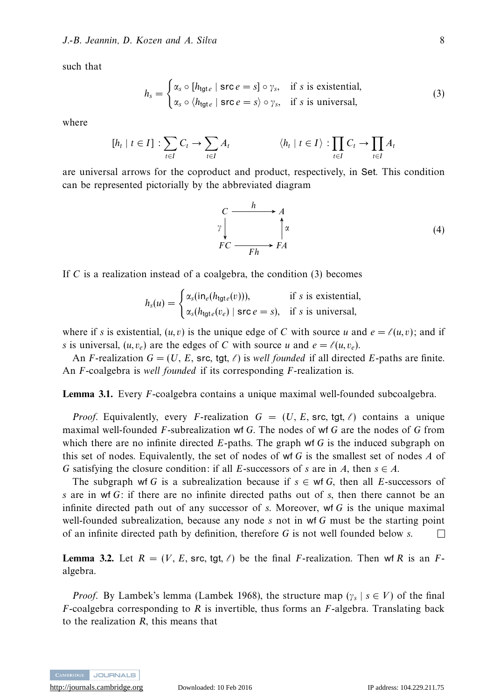such that

$$
h_s = \begin{cases} \alpha_s \circ [h_{\text{tgt }e} \mid \text{src } e = s] \circ \gamma_s, & \text{if } s \text{ is existential,} \\ \alpha_s \circ \langle h_{\text{tgt }e} \mid \text{src } e = s \rangle \circ \gamma_s, & \text{if } s \text{ is universal,} \end{cases}
$$
(3)

where

$$
[h_t \mid t \in I] : \sum_{t \in I} C_t \to \sum_{t \in I} A_t \qquad \langle h_t \mid t \in I \rangle : \prod_{t \in I} C_t \to \prod_{t \in I} A_t
$$

are universal arrows for the coproduct and product, respectively, in Set. This condition can be represented pictorially by the abbreviated diagram

$$
\begin{array}{ccc}\nC & & h & A \\
\gamma & & & \uparrow \alpha \\
\text{FC} & & & \uparrow \alpha \\
\hline\n& F & & \uparrow H \\
\hline\n\end{array} \tag{4}
$$

If *C* is a realization instead of a coalgebra, the condition (3) becomes

$$
h_s(u) = \begin{cases} \alpha_s(in_e(h_{\text{tgt}}(v))), & \text{if } s \text{ is existential,} \\ \alpha_s(h_{\text{tgt}}(v_e) \mid \text{src } e = s), & \text{if } s \text{ is universal,} \end{cases}
$$

where if *s* is existential,  $(u, v)$  is the unique edge of *C* with source *u* and  $e = \ell(u, v)$ ; and if *s* is universal,  $(u, v_e)$  are the edges of *C* with source *u* and  $e = \ell(u, v_e)$ .

An *F*-realization  $G = (U, E, \text{src}, \text{tgt}, \ell)$  is well founded if all directed *E*-paths are finite. An *F*-coalgebra is well founded if its corresponding *F*-realization is.

**Lemma 3.1.** Every *F*-coalgebra contains a unique maximal well-founded subcoalgebra.

*Proof.* Equivalently, every *F*-realization  $G = (U, E, \text{src}, \text{tgt}, \ell)$  contains a unique maximal well-founded *F*-subrealization wf *G*. The nodes of wf *G* are the nodes of *G* from which there are no infinite directed *E*-paths. The graph wf *G* is the induced subgraph on this set of nodes. Equivalently, the set of nodes of wf *G* is the smallest set of nodes *A* of *G* satisfying the closure condition: if all *E*-successors of *s* are in *A*, then  $s \in A$ .

The subgraph wf *G* is a subrealization because if  $s \in \mathsf{wt} G$ , then all *E*-successors of *s* are in wf *G*: if there are no infinite directed paths out of *s*, then there cannot be an infinite directed path out of any successor of *s*. Moreover, wf *G* is the unique maximal well-founded subrealization, because any node *s* not in wf *G* must be the starting point of an infinite directed path by definition, therefore *G* is not well founded below *s*.  $\Box$ 

**Lemma 3.2.** Let  $R = (V, E, \text{src}, \text{tgt}, \ell)$  be the final *F*-realization. Then wf *R* is an *F*algebra.

*Proof.* By Lambek's lemma (Lambek 1968), the structure map  $(\gamma_s | s \in V)$  of the final *F*-coalgebra corresponding to *R* is invertible, thus forms an *F*-algebra. Translating back to the realization *R*, this means that



<http://journals.cambridge.org> Downloaded: 10 Feb 2016 IP address: 104.229.211.75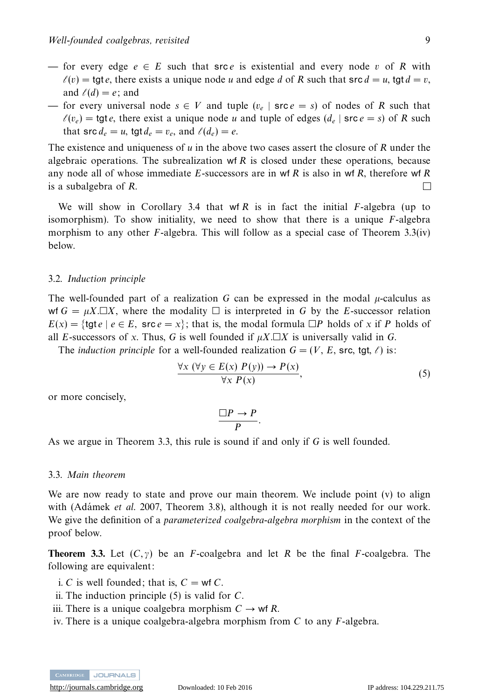- for every edge  $e \in E$  such that srce is existential and every node *v* of R with  $\ell(v) = \text{tgt } e$ , there exists a unique node *u* and edge *d* of *R* such that  $\text{src } d = u$ ,  $\text{tgt } d = v$ , and  $\ell(d) = e$ ; and
- for every universal node  $s \in V$  and tuple  $(v_e \mid \text{src } e = s)$  of nodes of *R* such that  $\ell(v_e)$  = tgte, there exist a unique node *u* and tuple of edges ( $d_e$ ) src  $e = s$ ) of *R* such that  $\operatorname{src} d_e = u$ ,  $\operatorname{tgt} d_e = v_e$ , and  $\ell(d_e) = e$ .

The existence and uniqueness of *u* in the above two cases assert the closure of *R* under the algebraic operations. The subrealization wf *R* is closed under these operations, because any node all of whose immediate *E*-successors are in wf *R* is also in wf *R*, therefore wf *R* is a subalgebra of *R*. П

We will show in Corollary 3.4 that wf *R* is in fact the initial *F*-algebra (up to isomorphism). To show initiality, we need to show that there is a unique *F*-algebra morphism to any other *F*-algebra. This will follow as a special case of Theorem 3.3(iv) below.

## 3.2. Induction principle

The well-founded part of a realization *G* can be expressed in the modal *μ*-calculus as wf  $G = \mu X \Box X$ , where the modality  $\Box$  is interpreted in G by the E-successor relation  $E(x) = \{\text{tate } | e \in E, \text{src } e = x\}$ ; that is, the modal formula  $\Box P$  holds of *x* if *P* holds of all *E*-successors of *x*. Thus, *G* is well founded if  $\mu X \square X$  is universally valid in *G*.

The *induction principle* for a well-founded realization  $G = (V, E, \text{src}, \text{tgt}, \ell)$  is:

$$
\frac{\forall x \ (\forall y \in E(x) \ P(y)) \to P(x)}{\forall x \ P(x)},\tag{5}
$$

or more concisely,

$$
\frac{\Box P \to P}{P}.
$$

As we argue in Theorem 3.3, this rule is sound if and only if *G* is well founded.

## 3.3. Main theorem

We are now ready to state and prove our main theorem. We include point (v) to align with (Adámek *et al.* 2007, Theorem 3.8), although it is not really needed for our work. We give the definition of a *parameterized coalgebra-algebra morphism* in the context of the proof below.

**Theorem 3.3.** Let (*C,γ*) be an *F*-coalgebra and let *R* be the final *F*-coalgebra. The following are equivalent:

- i. *C* is well founded; that is,  $C = \mathsf{wt}\, C$ .
- ii. The induction principle (5) is valid for *C*.
- iii. There is a unique coalgebra morphism  $C \rightarrow \mathsf{wt}\,R$ .
- iv. There is a unique coalgebra-algebra morphism from *C* to any *F*-algebra.

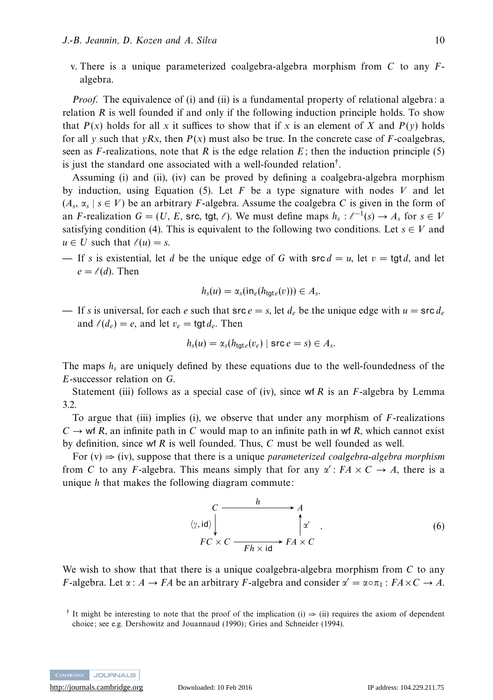v. There is a unique parameterized coalgebra-algebra morphism from *C* to any *F*algebra.

Proof. The equivalence of (i) and (ii) is a fundamental property of relational algebra: a relation *R* is well founded if and only if the following induction principle holds. To show that  $P(x)$  holds for all x it suffices to show that if x is an element of X and  $P(y)$  holds for all *y* such that *yRx*, then  $P(x)$  must also be true. In the concrete case of *F*-coalgebras, seen as *F*-realizations, note that *R* is the edge relation  $E$ ; then the induction principle (5) is just the standard one associated with a well-founded relation†.

Assuming (i) and (ii), (iv) can be proved by defining a coalgebra-algebra morphism by induction, using Equation (5). Let *F* be a type signature with nodes *V* and let  $(A_s, \alpha_s \mid s \in V)$  be an arbitrary *F*-algebra. Assume the coalgebra *C* is given in the form of an *F*-realization  $G = (U, E, \text{src}, \text{tgt}, \ell)$ . We must define maps  $h_s : \ell^{-1}(s) \to A_s$  for  $s \in V$ satisfying condition (4). This is equivalent to the following two conditions. Let  $s \in V$  and  $u \in U$  such that  $\ell(u) = s$ .

— If *s* is existential, let *d* be the unique edge of *G* with  $\operatorname{src} d = u$ , let  $v = \operatorname{tgt} d$ , and let  $e = \ell(d)$ . Then

$$
h_s(u) = \alpha_s(\text{in}_e(h_{\text{tgt }e}(v))) \in A_s.
$$

 $\blacksquare$  If *s* is universal, for each *e* such that src *e* = *s*, let  $d_e$  be the unique edge with  $u = \text{src } d_e$ and  $\ell(d_e) = e$ , and let  $v_e = \text{tgt } d_e$ . Then

$$
h_s(u) = \alpha_s(h_{\text{tgt }e}(v_e) \mid \text{src }e = s) \in A_s.
$$

The maps *hs* are uniquely defined by these equations due to the well-foundedness of the *E*-successor relation on *G*.

Statement (iii) follows as a special case of (iv), since wf *R* is an *F*-algebra by Lemma 3.2.

To argue that (iii) implies (i), we observe that under any morphism of *F*-realizations  $C \rightarrow \text{wt } R$ , an infinite path in *C* would map to an infinite path in wf *R*, which cannot exist by definition, since wf *R* is well founded. Thus, *C* must be well founded as well.

For  $(v) \Rightarrow (iv)$ , suppose that there is a unique *parameterized coalgebra-algebra morphism* from *C* to any *F*-algebra. This means simply that for any  $\alpha' : FA \times C \rightarrow A$ , there is a unique *h* that makes the following diagram commute:

$$
\begin{array}{ccc}\nC & h & A \\
\langle \gamma, \text{id} \rangle & & \uparrow \alpha' \\
FC \times C & \xrightarrow{Fh \times \text{id}} & FA \times C\n\end{array} \tag{6}
$$

We wish to show that that there is a unique coalgebra-algebra morphism from *C* to any *F*-algebra. Let  $\alpha: A \to FA$  be an arbitrary *F*-algebra and consider  $\alpha' = \alpha \circ \pi_1 : FA \times C \to A$ .



<sup>&</sup>lt;sup>†</sup> It might be interesting to note that the proof of the implication (i)  $\Rightarrow$  (ii) requires the axiom of dependent choice; see e.g. Dershowitz and Jouannaud (1990); Gries and Schneider (1994).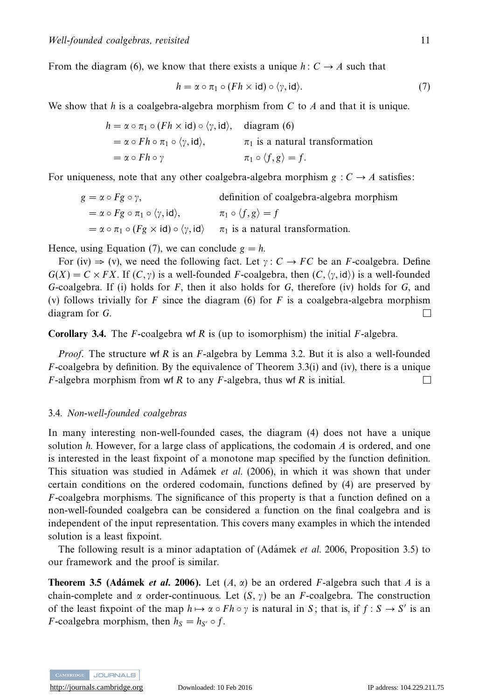From the diagram (6), we know that there exists a unique  $h: C \rightarrow A$  such that

$$
h = \alpha \circ \pi_1 \circ (Fh \times \mathsf{id}) \circ \langle \gamma, \mathsf{id} \rangle. \tag{7}
$$

We show that *h* is a coalgebra-algebra morphism from *C* to *A* and that it is unique.

$$
h = \alpha \circ \pi_1 \circ (Fh \times \text{id}) \circ \langle \gamma, \text{id} \rangle, \quad \text{diagram (6)}
$$
  
=  $\alpha \circ Fh \circ \pi_1 \circ \langle \gamma, \text{id} \rangle, \qquad \pi_1 \text{ is a natural transformation}$   
=  $\alpha \circ Fh \circ \gamma \qquad \pi_1 \circ \langle f, g \rangle = f.$ 

For uniqueness, note that any other coalgebra-algebra morphism  $g: C \rightarrow A$  satisfies:

$$
g = \alpha \circ Fg \circ \gamma,
$$
 definition of coalgebra-algebra morphism  
=  $\alpha \circ Fg \circ \pi_1 \circ \langle \gamma, id \rangle$ ,  $\pi_1 \circ \langle f, g \rangle = f$   
=  $\alpha \circ \pi_1 \circ (Fg \times id) \circ \langle \gamma, id \rangle$   $\pi_1$  is a natural transformation.

Hence, using Equation (7), we can conclude  $g = h$ .

For (iv)  $\Rightarrow$  (v), we need the following fact. Let *γ* : *C*  $\rightarrow$  *FC* be an *F*-coalgebra. Define  $G(X) = C \times FX$ . If  $(C, \gamma)$  is a well-founded *F*-coalgebra, then  $(C, \langle \gamma, \mathsf{id} \rangle)$  is a well-founded *G*-coalgebra. If (i) holds for *F*, then it also holds for *G*, therefore (iv) holds for *G*, and (v) follows trivially for  $F$  since the diagram (6) for  $F$  is a coalgebra-algebra morphism diagram for *G*.  $\Box$ 

**Corollary 3.4.** The *F*-coalgebra wf *R* is (up to isomorphism) the initial *F*-algebra.

Proof. The structure wf *R* is an *F*-algebra by Lemma 3.2. But it is also a well-founded *F*-coalgebra by definition. By the equivalence of Theorem 3.3(i) and (iv), there is a unique *F*-algebra morphism from wf *R* to any *F*-algebra, thus wf *R* is initial.  $\Box$ 

#### 3.4. Non-well-founded coalgebras

In many interesting non-well-founded cases, the diagram (4) does not have a unique solution *h*. However, for a large class of applications, the codomain *A* is ordered, and one is interested in the least fixpoint of a monotone map specified by the function definition. This situation was studied in Adamek *et al.* (2006), in which it was shown that under certain conditions on the ordered codomain, functions defined by (4) are preserved by *F*-coalgebra morphisms. The significance of this property is that a function defined on a non-well-founded coalgebra can be considered a function on the final coalgebra and is independent of the input representation. This covers many examples in which the intended solution is a least fixpoint.

The following result is a minor adaptation of  $(Adamek et al. 2006, Proposition 3.5)$  to our framework and the proof is similar.

**Theorem 3.5 (Adámek** *et al.* 2006). Let  $(A, \alpha)$  be an ordered *F*-algebra such that *A* is a chain-complete and *α* order-continuous. Let (*S, γ*) be an *F*-coalgebra. The construction of the least fixpoint of the map  $h \mapsto \alpha \circ Fh \circ \gamma$  is natural in *S*; that is, if  $f : S \to S'$  is an *F*-coalgebra morphism, then  $h_S = h_{S'} \circ f$ .



<http://journals.cambridge.org> Downloaded: 10 Feb 2016 IP address: 104.229.211.75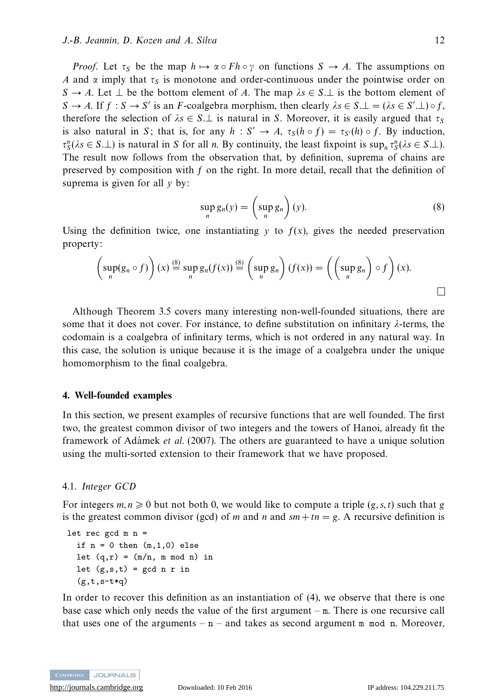*Proof.* Let  $\tau_s$  be the map  $h \mapsto \alpha \circ Fh \circ \gamma$  on functions  $S \to A$ . The assumptions on *A* and  $\alpha$  imply that  $\tau_S$  is monotone and order-continuous under the pointwise order on *S* → *A*. Let  $\perp$  be the bottom element of *A*. The map  $\lambda s \in S \perp$  is the bottom element of  $S \to A$ . If  $f : S \to S'$  is an *F*-coalgebra morphism, then clearly  $\lambda s \in S \perp = (\lambda s \in S' \perp) \circ f$ , therefore the selection of  $\lambda s \in S$ . is natural in *S*. Moreover, it is easily argued that  $\tau_s$ is also natural in *S*; that is, for any  $h : S' \to A$ ,  $\tau_S(h \circ f) = \tau_{S'}(h) \circ f$ . By induction,  $\tau_S^n(\lambda s \in S. \bot)$  is natural in *S* for all *n*. By continuity, the least fixpoint is sup<sub>*n*</sub>  $\tau_S^n(\lambda s \in S. \bot)$ . The result now follows from the observation that, by definition, suprema of chains are preserved by composition with *f* on the right. In more detail, recall that the definition of suprema is given for all *y* by:

$$
\sup_{n} g_n(y) = \left(\sup_{n} g_n\right)(y). \tag{8}
$$

Using the definition twice, one instantiating  $y$  to  $f(x)$ , gives the needed preservation property:

$$
\left(\sup_n(g_n\circ f)\right)(x)\stackrel{\text{(8)}}{=} \sup_n g_n(f(x))\stackrel{\text{(8)}}{=} \left(\sup_n g_n\right)(f(x))=\left(\left(\sup_n g_n\right)\circ f\right)(x).
$$

Although Theorem 3.5 covers many interesting non-well-founded situations, there are some that it does not cover. For instance, to define substitution on infinitary *λ*-terms, the codomain is a coalgebra of infinitary terms, which is not ordered in any natural way. In this case, the solution is unique because it is the image of a coalgebra under the unique homomorphism to the final coalgebra.

#### **4. Well-founded examples**

In this section, we present examples of recursive functions that are well founded. The first two, the greatest common divisor of two integers and the towers of Hanoi, already fit the framework of Adamek *et al.* (2007). The others are guaranteed to have a unique solution using the multi-sorted extension to their framework that we have proposed.

## 4.1. Integer GCD

For integers  $m, n \geq 0$  but not both 0, we would like to compute a triple  $(g, s, t)$  such that *g* is the greatest common divisor (gcd) of *m* and *n* and  $sm + tn = g$ . A recursive definition is

```
let rec gcd m n =if n = 0 then (m, 1, 0) else
  let (q,r) = (m/n, m \mod n) in
  let (g, s, t) = \gcd n r in
  (g,t,s-t*q)
```
In order to recover this definition as an instantiation of (4), we observe that there is one base case which only needs the value of the first argument  $-\mathbf{m}$ . There is one recursive call that uses one of the arguments –  $n -$  and takes as second argument  $m$  mod n. Moreover,

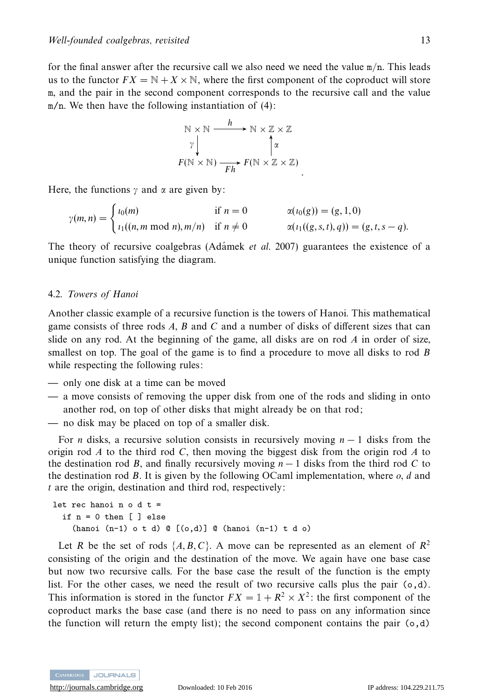for the final answer after the recursive call we also need we need the value m*/*n. This leads us to the functor  $FX = \mathbb{N} + X \times \mathbb{N}$ , where the first component of the coproduct will store m, and the pair in the second component corresponds to the recursive call and the value  $m/n$ . We then have the following instantiation of  $(4)$ :

$$
\begin{array}{ccc}\n\mathbb{N} \times \mathbb{N} & \xrightarrow{h} & \mathbb{N} \times \mathbb{Z} \times \mathbb{Z} \\
\gamma \downarrow & \qquad \qquad \uparrow \alpha \\
F(\mathbb{N} \times \mathbb{N}) & \xrightarrow{Fh} & F(\mathbb{N} \times \mathbb{Z} \times \mathbb{Z})\n\end{array}
$$

Here, the functions *γ* and *α* are given by:

$$
\gamma(m,n) = \begin{cases} \n\iota_0(m) & \text{if } n = 0 \\
\iota_1((n,m \bmod n), m/n) & \text{if } n \neq 0\n\end{cases} \qquad \alpha(\iota_0(g)) = (g, 1, 0)
$$

The theory of recursive coalgebras (Adamek  $et$  al. 2007) guarantees the existence of a unique function satisfying the diagram.

#### 4.2. Towers of Hanoi

Another classic example of a recursive function is the towers of Hanoi. This mathematical game consists of three rods *A*, *B* and *C* and a number of disks of different sizes that can slide on any rod. At the beginning of the game, all disks are on rod *A* in order of size, smallest on top. The goal of the game is to find a procedure to move all disks to rod *B* while respecting the following rules:

- **—** only one disk at a time can be moved
- **—** a move consists of removing the upper disk from one of the rods and sliding in onto another rod, on top of other disks that might already be on that rod;
- **—** no disk may be placed on top of a smaller disk.

For *n* disks, a recursive solution consists in recursively moving *n* − 1 disks from the origin rod *A* to the third rod *C*, then moving the biggest disk from the origin rod *A* to the destination rod *B*, and finally recursively moving  $n - 1$  disks from the third rod *C* to the destination rod *B*. It is given by the following OCaml implementation, where *o*, *d* and *t* are the origin, destination and third rod, respectively:

```
let rechanoin \circ d t =
  if n = 0 then [] else
    (hanoi (n-1) o t d) @ [(o,d)] @ (hanoi (n-1) t d o)
```
Let *R* be the set of rods  $\{A, B, C\}$ . A move can be represented as an element of  $R^2$ consisting of the origin and the destination of the move. We again have one base case but now two recursive calls. For the base case the result of the function is the empty list. For the other cases, we need the result of two recursive calls plus the pair  $(o,d)$ . This information is stored in the functor  $FX = 1 + R^2 \times X^2$ : the first component of the coproduct marks the base case (and there is no need to pass on any information since the function will return the empty list); the second component contains the pair  $(o, d)$ 

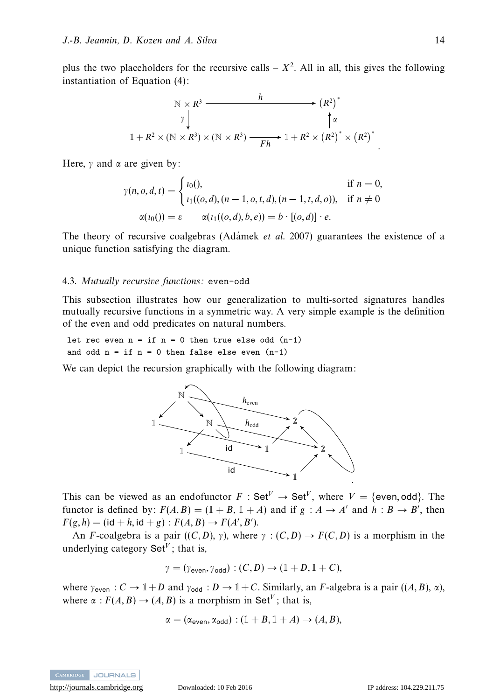plus the two placeholders for the recursive calls  $- X^2$ . All in all, this gives the following instantiation of Equation (4):

$$
\mathbb{N} \times R^3 \xrightarrow{\quad h \quad \mathbb{N} \times (R^2)^* \quad \uparrow \alpha}
$$
\n
$$
1 + R^2 \times (\mathbb{N} \times R^3) \times (\mathbb{N} \times R^3) \xrightarrow{\quad \mathbb{N} \times (R^2) \quad \uparrow \alpha} 1 + R^2 \times (R^2)^* \times (R^2)^*
$$

Here, *γ* and *α* are given by:

$$
\gamma(n, o, d, t) = \begin{cases}\n\iota_0(), & \text{if } n = 0, \\
\iota_1((o, d), (n - 1, o, t, d), (n - 1, t, d, o)), & \text{if } n \neq 0\n\end{cases}
$$
\n
$$
\alpha(\iota_0()) = \varepsilon \qquad \alpha(\iota_1((o, d), b, e)) = b \cdot [(o, d)] \cdot e.
$$

The theory of recursive coalgebras (Adámek et al. 2007) guarantees the existence of a unique function satisfying the diagram.

#### 4.3. Mutually recursive functions: even-odd

This subsection illustrates how our generalization to multi-sorted signatures handles mutually recursive functions in a symmetric way. A very simple example is the definition of the even and odd predicates on natural numbers.

let rec even  $n = if n = 0 then true else odd (n-1)$ and odd  $n = if n = 0 then false else even (n-1)$ 

We can depict the recursion graphically with the following diagram:



This can be viewed as an endofunctor  $F : \mathsf{Set}^V \to \mathsf{Set}^V$ , where  $V = \{$ even, odd $\}$ . The functor is defined by:  $F(A, B) = (1 + B, 1 + A)$  and if  $g : A \rightarrow A'$  and  $h : B \rightarrow B'$ , then  $F(g, h) = (id + h, id + g) : F(A, B) \to F(A', B').$ 

An *F*-coalgebra is a pair  $((C, D), \gamma)$ , where  $\gamma : (C, D) \to F(C, D)$  is a morphism in the underlying category  $\mathsf{Set}^V$ ; that is,

$$
\gamma = (\gamma_{\text{even}}, \gamma_{\text{odd}}) : (C, D) \to (\mathbb{1} + D, \mathbb{1} + C),
$$

where  $\gamma_{\text{even}} : C \to 1 + D$  and  $\gamma_{\text{odd}} : D \to 1 + C$ . Similarly, an *F*-algebra is a pair  $((A, B), \alpha)$ , where  $\alpha$ :  $F(A, B) \rightarrow (A, B)$  is a morphism in Set<sup>V</sup>; that is,

$$
\alpha = (\alpha_{\text{even}}, \alpha_{\text{odd}}) : (\mathbb{1} + B, \mathbb{1} + A) \to (A, B),
$$



.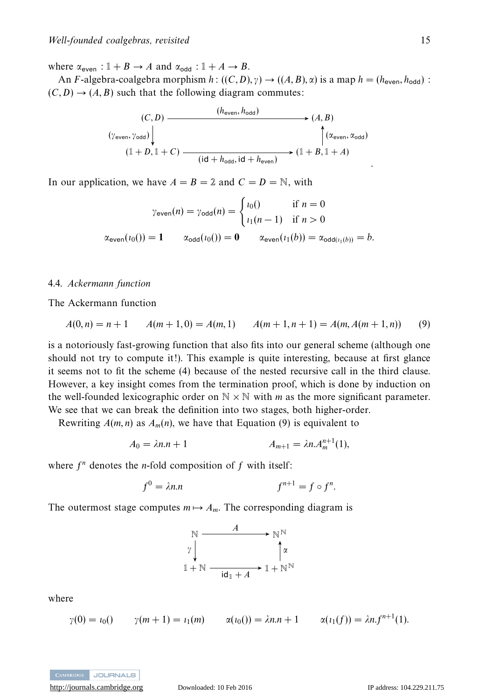where  $\alpha_{\text{even}} : \mathbb{1} + B \rightarrow A$  and  $\alpha_{\text{odd}} : \mathbb{1} + A \rightarrow B$ .

An *F*-algebra-coalgebra morphism  $h: ((C, D), \gamma) \rightarrow ((A, B), \alpha)$  is a map  $h = (h_{\text{even}}, h_{\text{odd}})$ :  $(C, D) \rightarrow (A, B)$  such that the following diagram commutes:

$$
((C, D) \xrightarrow{\qquad (h_{\text{even}}, h_{\text{odd}})} (A, B)
$$
  

$$
((\gamma_{\text{even}}, \gamma_{\text{odd}})) \xrightarrow{\qquad} ((A, D) \xrightarrow{\qquad} ((\gamma_{\text{even}}, \gamma_{\text{odd}}))
$$
  

$$
(1 + D, 1 + C) \xrightarrow{\qquad (id + h_{\text{odd}}, id + h_{\text{even}})} (1 + B, 1 + A)
$$

In our application, we have  $A = B = 2$  and  $C = D = \mathbb{N}$ , with

$$
\gamma_{\text{even}}(n) = \gamma_{\text{odd}}(n) = \begin{cases} \iota_0(1) & \text{if } n = 0 \\ \iota_1(n-1) & \text{if } n > 0 \end{cases}
$$
\n
$$
\alpha_{\text{even}}(\iota_0(1)) = 1 \qquad \alpha_{\text{odd}}(\iota_0(1)) = 0 \qquad \alpha_{\text{even}}(\iota_1(b)) = \alpha_{\text{odd}}(\iota_1(b)) = b.
$$

#### 4.4. Ackermann function

The Ackermann function

$$
A(0, n) = n + 1 \qquad A(m + 1, 0) = A(m, 1) \qquad A(m + 1, n + 1) = A(m, A(m + 1, n)) \tag{9}
$$

is a notoriously fast-growing function that also fits into our general scheme (although one should not try to compute it!). This example is quite interesting, because at first glance it seems not to fit the scheme (4) because of the nested recursive call in the third clause. However, a key insight comes from the termination proof, which is done by induction on the well-founded lexicographic order on  $\mathbb{N} \times \mathbb{N}$  with *m* as the more significant parameter. We see that we can break the definition into two stages, both higher-order.

Rewriting  $A(m, n)$  as  $A_m(n)$ , we have that Equation (9) is equivalent to

$$
A_0 = \lambda n.n + 1 \qquad A_{m+1} = \lambda n \cdot A_m^{n+1}(1),
$$

where  $f^n$  denotes the *n*-fold composition of  $f$  with itself:

$$
f^0 = \lambda n.n \qquad f^{n+1} = f \circ f^n.
$$

The outermost stage computes  $m \mapsto A_m$ . The corresponding diagram is



where

$$
\gamma(0) = \iota_0(1) \qquad \gamma(m+1) = \iota_1(m) \qquad \alpha(\iota_0(1)) = \lambda n \cdot n + 1 \qquad \alpha(\iota_1(f)) = \lambda n \cdot f^{n+1}(1).
$$

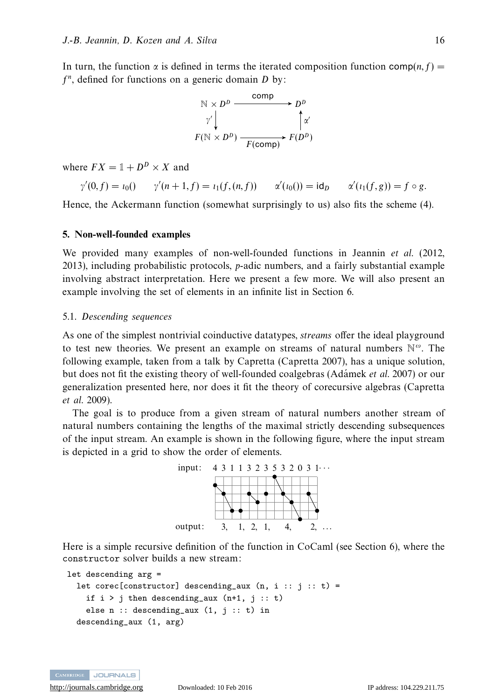In turn, the function  $\alpha$  is defined in terms the iterated composition function comp(*n*, *f*) = *fn*, defined for functions on a generic domain *D* by:



where  $FX = 1 + D^D \times X$  and

$$
\gamma'(0, f) = \iota_0(1) \qquad \gamma'(n+1, f) = \iota_1(f, (n, f)) \qquad \alpha'(\iota_0(1)) = \mathrm{id}_D \qquad \alpha'(\iota_1(f, g)) = f \circ g.
$$

Hence, the Ackermann function (somewhat surprisingly to us) also fits the scheme (4).

## **5. Non-well-founded examples**

We provided many examples of non-well-founded functions in Jeannin *et al.* (2012, 2013), including probabilistic protocols, *p*-adic numbers, and a fairly substantial example involving abstract interpretation. Here we present a few more. We will also present an example involving the set of elements in an infinite list in Section 6.

#### 5.1. Descending sequences

As one of the simplest nontrivial coinductive datatypes, streams offer the ideal playground to test new theories. We present an example on streams of natural numbers N*<sup>ω</sup>*. The following example, taken from a talk by Capretta (Capretta 2007), has a unique solution, but does not fit the existing theory of well-founded coalgebras (Adámek *et al.* 2007) or our generalization presented here, nor does it fit the theory of corecursive algebras (Capretta et al. 2009).

The goal is to produce from a given stream of natural numbers another stream of natural numbers containing the lengths of the maximal strictly descending subsequences of the input stream. An example is shown in the following figure, where the input stream is depicted in a grid to show the order of elements.



Here is a simple recursive definition of the function in CoCaml (see Section 6), where the constructor solver builds a new stream:

```
let descending arg =
  let corec[constructor] descending_aux (n, i :: j :: t) =if i > j then descending_aux (n+1, j :: t)
    else n :: descending_aux (1, j :: t) in
  descending_aux (1, arg)
```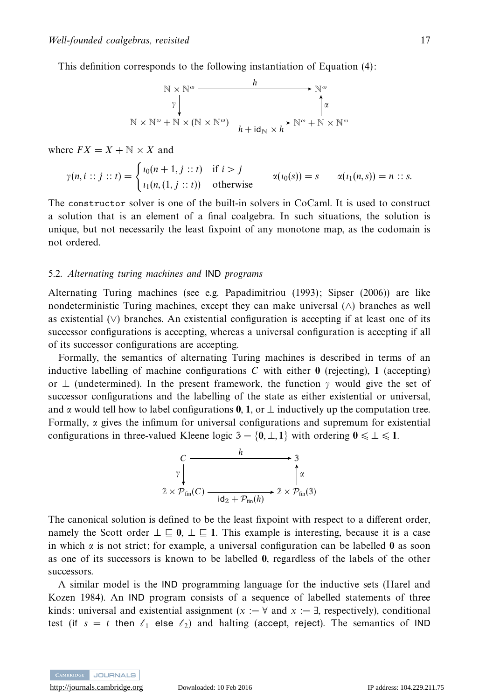This definition corresponds to the following instantiation of Equation (4):

$$
\mathbb{N} \times \mathbb{N}^{\omega} \xrightarrow{\hspace{1cm} h \hspace{1cm}} \mathbb{N}^{\omega}
$$
\n
$$
\mathbb{N} \times \mathbb{N}^{\omega} + \mathbb{N} \times (\mathbb{N} \times \mathbb{N}^{\omega}) \xrightarrow[\hspace{1cm} h + id_{\mathbb{N}} \times h]{\hspace{1cm}} \mathbb{N}^{\omega} + \mathbb{N} \times \mathbb{N}^{\omega}
$$

where  $FX = X + N \times X$  and

$$
\gamma(n, i:: j:: t) = \begin{cases} \iota_0(n+1, j:: t) & \text{if } i > j \\ \iota_1(n, (1, j:: t)) & \text{otherwise} \end{cases} \qquad \alpha(\iota_0(s)) = s \qquad \alpha(\iota_1(n, s)) = n:: s.
$$

The constructor solver is one of the built-in solvers in CoCaml. It is used to construct a solution that is an element of a final coalgebra. In such situations, the solution is unique, but not necessarily the least fixpoint of any monotone map, as the codomain is not ordered.

#### 5.2. Alternating turing machines and IND programs

Alternating Turing machines (see e.g. Papadimitriou (1993); Sipser (2006)) are like nondeterministic Turing machines, except they can make universal (∧) branches as well as existential (∨) branches. An existential configuration is accepting if at least one of its successor configurations is accepting, whereas a universal configuration is accepting if all of its successor configurations are accepting.

Formally, the semantics of alternating Turing machines is described in terms of an inductive labelling of machine configurations  $C$  with either  $\bf{0}$  (rejecting),  $\bf{1}$  (accepting) or ⊥ (undetermined). In the present framework, the function *γ* would give the set of successor configurations and the labelling of the state as either existential or universal, and  $\alpha$  would tell how to label configurations **0**, **1**, or  $\perp$  inductively up the computation tree. Formally, *α* gives the infimum for universal configurations and supremum for existential configurations in three-valued Kleene logic  $3 = \{0, \perp, 1\}$  with ordering  $0 \leq \perp \leq 1$ .



The canonical solution is defined to be the least fixpoint with respect to a different order, namely the Scott order  $\perp \sqsubseteq 0$ ,  $\perp \sqsubseteq 1$ . This example is interesting, because it is a case in which  $\alpha$  is not strict; for example, a universal configuration can be labelled **0** as soon as one of its successors is known to be labelled **0**, regardless of the labels of the other successors.

A similar model is the IND programming language for the inductive sets (Harel and Kozen 1984). An IND program consists of a sequence of labelled statements of three kinds: universal and existential assignment ( $x := \forall$  and  $x := \exists$ , respectively), conditional test (if  $s = t$  then  $\ell_1$  else  $\ell_2$ ) and halting (accept, reject). The semantics of IND

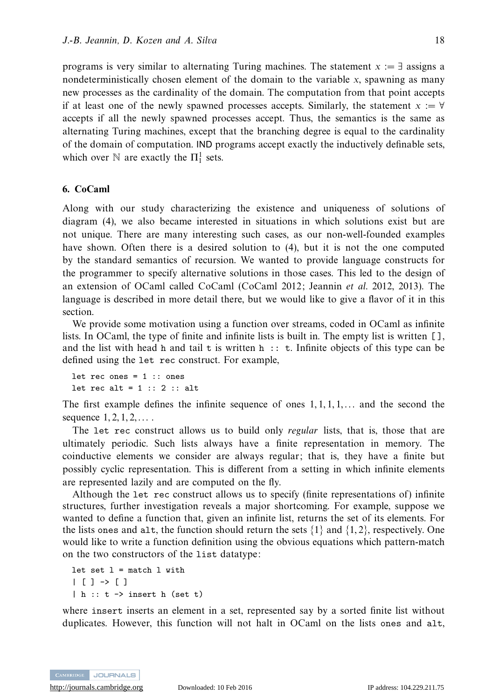programs is very similar to alternating Turing machines. The statement  $x := \exists$  assigns a nondeterministically chosen element of the domain to the variable *x*, spawning as many new processes as the cardinality of the domain. The computation from that point accepts if at least one of the newly spawned processes accepts. Similarly, the statement  $x := \forall$ accepts if all the newly spawned processes accept. Thus, the semantics is the same as alternating Turing machines, except that the branching degree is equal to the cardinality of the domain of computation. IND programs accept exactly the inductively definable sets, which over  $\mathbb N$  are exactly the  $\Pi_1^1$  sets.

# **6. CoCaml**

Along with our study characterizing the existence and uniqueness of solutions of diagram (4), we also became interested in situations in which solutions exist but are not unique. There are many interesting such cases, as our non-well-founded examples have shown. Often there is a desired solution to (4), but it is not the one computed by the standard semantics of recursion. We wanted to provide language constructs for the programmer to specify alternative solutions in those cases. This led to the design of an extension of OCaml called CoCaml (CoCaml 2012; Jeannin et al. 2012, 2013). The language is described in more detail there, but we would like to give a flavor of it in this section.

We provide some motivation using a function over streams, coded in OCaml as infinite lists. In OCaml, the type of finite and infinite lists is built in. The empty list is written [ ], and the list with head h and tail t is written h  $\cdots$  t. Infinite objects of this type can be defined using the let rec construct. For example,

```
let rec ones = 1 :: ones
let rec alt = 1 :: 2 :: alt
```
The first example defines the infinite sequence of ones 1*,* 1*,* 1*,* 1*,...* and the second the sequence 1*,* 2*,* 1*,* 2*,...* .

The let rec construct allows us to build only *regular* lists, that is, those that are ultimately periodic. Such lists always have a finite representation in memory. The coinductive elements we consider are always regular; that is, they have a finite but possibly cyclic representation. This is different from a setting in which infinite elements are represented lazily and are computed on the fly.

Although the let rec construct allows us to specify (finite representations of) infinite structures, further investigation reveals a major shortcoming. For example, suppose we wanted to define a function that, given an infinite list, returns the set of its elements. For the lists ones and alt, the function should return the sets  $\{1\}$  and  $\{1, 2\}$ , respectively. One would like to write a function definition using the obvious equations which pattern-match on the two constructors of the list datatype:

```
let set 1 = match 1 with| [ ] \rightarrow [ ]|h :: t \rightarrow insert h (set t)
```
where insert inserts an element in a set, represented say by a sorted finite list without duplicates. However, this function will not halt in OCaml on the lists ones and alt,

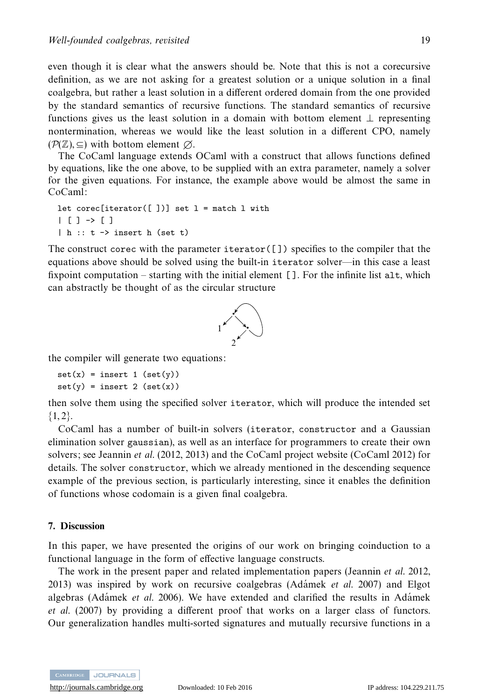even though it is clear what the answers should be. Note that this is not a corecursive definition, as we are not asking for a greatest solution or a unique solution in a final coalgebra, but rather a least solution in a different ordered domain from the one provided by the standard semantics of recursive functions. The standard semantics of recursive functions gives us the least solution in a domain with bottom element  $\perp$  representing nontermination, whereas we would like the least solution in a different CPO, namely  $(\mathcal{P}(\mathbb{Z}), \subseteq)$  with bottom element  $\emptyset$ .

The CoCaml language extends OCaml with a construct that allows functions defined by equations, like the one above, to be supplied with an extra parameter, namely a solver for the given equations. For instance, the example above would be almost the same in CoCaml:

```
let corec[iterator([ ])] set l = match l with
| [ ] \rightarrow [ ]|h :: t \rightarrow insert h (set t)
```
The construct corec with the parameter iterator( $[$ ]) specifies to the compiler that the equations above should be solved using the built-in iterator solver—in this case a least fixpoint computation – starting with the initial element  $[]$ . For the infinite list alt, which can abstractly be thought of as the circular structure



the compiler will generate two equations:

 $set(x) = insert 1 (set(y))$  $set(y) = insert 2 (set(x))$ 

then solve them using the specified solver iterator, which will produce the intended set  $\{1,2\}.$ 

CoCaml has a number of built-in solvers (iterator, constructor and a Gaussian elimination solver gaussian), as well as an interface for programmers to create their own solvers; see Jeannin et al. (2012, 2013) and the CoCaml project website (CoCaml 2012) for details. The solver constructor, which we already mentioned in the descending sequence example of the previous section, is particularly interesting, since it enables the definition of functions whose codomain is a given final coalgebra.

# **7. Discussion**

In this paper, we have presented the origins of our work on bringing coinduction to a functional language in the form of effective language constructs.

The work in the present paper and related implementation papers (Jeannin et al. 2012, 2013) was inspired by work on recursive coalgebras (Adámek *et al.* 2007) and Elgot algebras (Adámek et al. 2006). We have extended and clarified the results in Adámek et al. (2007) by providing a different proof that works on a larger class of functors. Our generalization handles multi-sorted signatures and mutually recursive functions in a

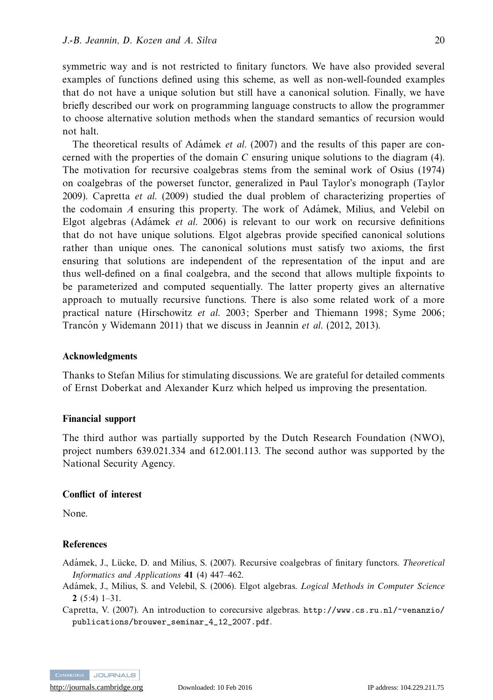symmetric way and is not restricted to finitary functors. We have also provided several examples of functions defined using this scheme, as well as non-well-founded examples that do not have a unique solution but still have a canonical solution. Finally, we have briefly described our work on programming language constructs to allow the programmer to choose alternative solution methods when the standard semantics of recursion would not halt.

The theoretical results of Adámek et al. (2007) and the results of this paper are concerned with the properties of the domain *C* ensuring unique solutions to the diagram (4). The motivation for recursive coalgebras stems from the seminal work of Osius (1974) on coalgebras of the powerset functor, generalized in Paul Taylor's monograph (Taylor 2009). Capretta et al.  $(2009)$  studied the dual problem of characterizing properties of the codomain *A* ensuring this property. The work of Adamek, Milius, and Velebil on Elgot algebras (Adámek *et al.* 2006) is relevant to our work on recursive definitions that do not have unique solutions. Elgot algebras provide specified canonical solutions rather than unique ones. The canonical solutions must satisfy two axioms, the first ensuring that solutions are independent of the representation of the input and are thus well-defined on a final coalgebra, and the second that allows multiple fixpoints to be parameterized and computed sequentially. The latter property gives an alternative approach to mutually recursive functions. There is also some related work of a more practical nature (Hirschowitz et al. 2003; Sperber and Thiemann 1998; Syme 2006; Trancon y Widemann  $2011$ ) that we discuss in Jeannin *et al.* (2012, 2013).

## **Acknowledgments**

Thanks to Stefan Milius for stimulating discussions. We are grateful for detailed comments of Ernst Doberkat and Alexander Kurz which helped us improving the presentation.

## **Financial support**

The third author was partially supported by the Dutch Research Foundation (NWO), project numbers 639.021.334 and 612.001.113. The second author was supported by the National Security Agency.

## **Conflict of interest**

None.

## **References**

Adámek, J., Lücke, D. and Milius, S. (2007). Recursive coalgebras of finitary functors. Theoretical Informatics and Applications **41** (4) 447–462.

Adámek, J., Milius, S. and Velebil, S. (2006). Elgot algebras. Logical Methods in Computer Science **2** (5:4) 1–31.

Capretta, V. (2007). An introduction to corecursive algebras. http://www.cs.ru.nl/~venanzio/ publications/brouwer\_seminar\_4\_12\_2007.pdf.